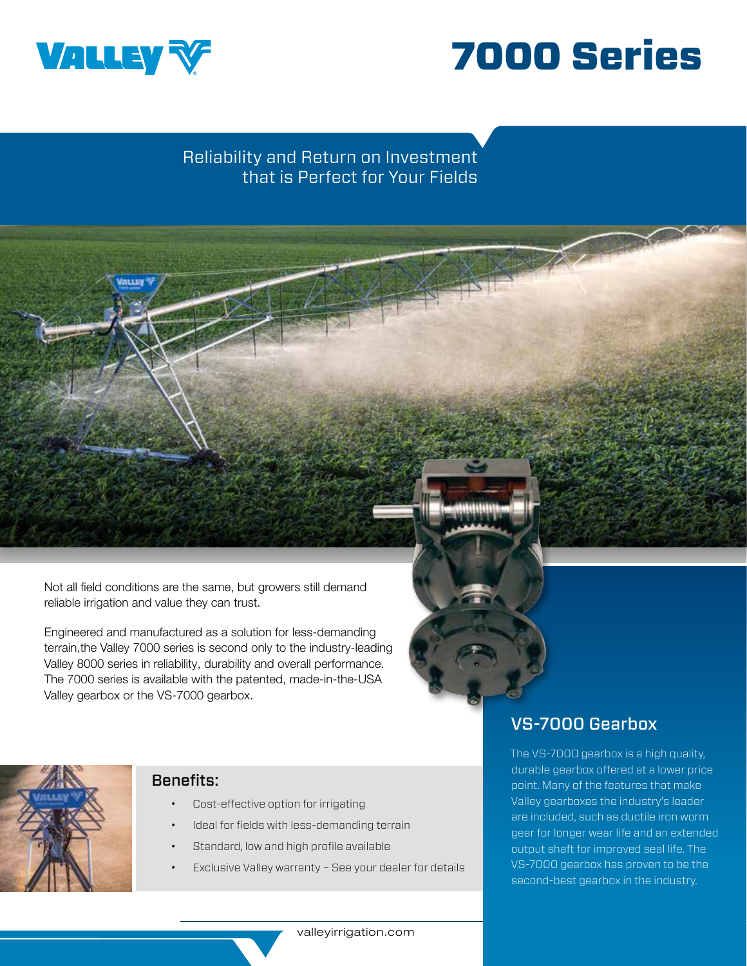



# Reliability and Return on Investment that is Perfect for Your Fields

Not all field conditions are the same, but growers still demand reliable irrigation and value they can trust.

Engineered and manufactured as a solution for less-demanding terrain,the Valley 7000 series is second only to the industry-leading Valley 8000 series in reliability, durability and overall performance. The 7000 series is available with the patented, made-in-the-USA Valley gearbox or the VS-7000 gearbox.



#### Benefits:

- Cost-effective option for irrigating
- Ideal for fields with less-demanding terrain
- Standard, low and high profile available
- Exclusive Valley warranty See your dealer for details

### VS-7000 Gearbox

The VS-7000 gearbox is a high quality, durable gearbox offered at a lower price point. Many of the features that make Valley gearboxes the industry's leader are included, such as ductile iron worm gear for longer wear life and an extended output shaft for improved seal life. The VS-7000 gearbox has proven to be the second-best gearbox in the industry.